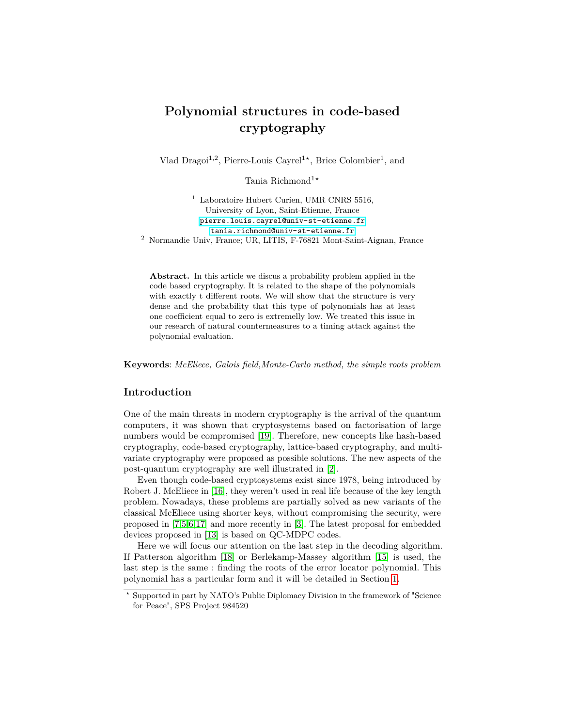# **Polynomial structures in code-based cryptography**

Vlad Dragoi<sup>1,2</sup>, Pierre-Louis Cayrel<sup>1</sup><sup>\*</sup>, Brice Colombier<sup>1</sup>, and

Tania Richmond<sup>1</sup><sup>★</sup>

 $1$  Laboratoire Hubert Curien, UMR CNRS 5516, University of Lyon, Saint-Etienne, France <pierre.louis.cayrel@univ-st-etienne.fr> <tania.richmond@univ-st-etienne.fr> <sup>2</sup> Normandie Univ, France; UR, LITIS, F-76821 Mont-Saint-Aignan, France

**Abstract.** In this article we discus a probability problem applied in the code based cryptography. It is related to the shape of the polynomials with exactly t different roots. We will show that the structure is very dense and the probability that this type of polynomials has at least one coefficient equal to zero is extremelly low. We treated this issue in our research of natural countermeasures to a timing attack against the polynomial evaluation.

**Keywords**: *McEliece, Galois field,Monte-Carlo method, the simple roots problem*

## **Introduction**

One of the main threats in modern cryptography is the arrival of the quantum computers, it was shown that cryptosystems based on factorisation of large numbers would be compromised [\[19\]](#page-11-0). Therefore, new concepts like hash-based cryptography, code-based cryptography, lattice-based cryptography, and multivariate cryptography were proposed as possible solutions. The new aspects of the post-quantum cryptography are well illustrated in [\[2\]](#page-10-0).

Even though code-based cryptosystems exist since 1978, being introduced by Robert J. McEliece in [\[16\]](#page-11-1), they weren't used in real life because of the key length problem. Nowadays, these problems are partially solved as new variants of the classical McEliece using shorter keys, without compromising the security, were proposed in [\[7](#page-11-2)[,5,](#page-11-3)[6](#page-11-4)[,17\]](#page-11-5) and more recently in [\[3\]](#page-10-1). The latest proposal for embedded devices proposed in [\[13\]](#page-11-6) is based on QC-MDPC codes.

Here we will focus our attention on the last step in the decoding algorithm. If Patterson algorithm [\[18\]](#page-11-7) or Berlekamp-Massey algorithm [\[15\]](#page-11-8) is used, the last step is the same : finding the roots of the error locator polynomial. This polynomial has a particular form and it will be detailed in Section [1.](#page-1-0)

*<sup>⋆</sup>* Supported in part by NATO's Public Diplomacy Division in the framework of "Science for Peace", SPS Project 984520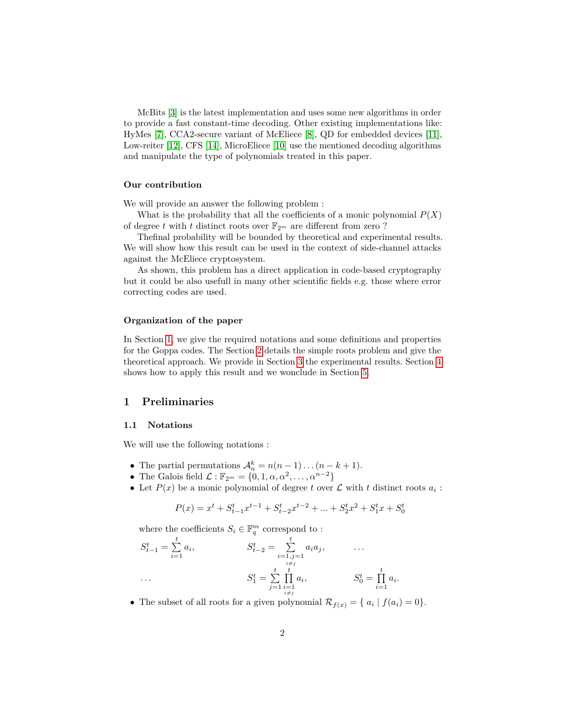McBits [\[3\]](#page-10-1) is the latest implementation and uses some new algorithms in order to provide a fast constant-time decoding. Other existing implementations like: HyMes [\[7\]](#page-11-2), CCA2-secure variant of McEliece [\[8\]](#page-11-9), QD for embedded devices [\[11\]](#page-11-10), Low-reiter [\[12\]](#page-11-11), CFS [\[14\]](#page-11-12), MicroEliece [\[10\]](#page-11-13) use the mentioned decoding algorithms and manipulate the type of polynomials treated in this paper.

### **Our contribution**

We will provide an answer the following problem :

What is the probability that all the coefficients of a monic polynomial  $P(X)$ of degree *t* with *t* distinct roots over  $\mathbb{F}_{2^m}$  are different from zero ?

Thefinal probability will be bounded by theoretical and experimental results. We will show how this result can be used in the context of side-channel attacks against the McEliece cryptosystem.

As shown, this problem has a direct application in code-based cryptography but it could be also usefull in many other scientific fields e.g. those where error correcting codes are used.

### **Organization of the paper**

In Section [1,](#page-1-0) we give the required notations and some definitions and properties for the Goppa codes. The Section [2](#page-2-0) details the simple roots problem and give the theoretical approach. We provide in Section [3](#page-8-0) the experimental results. Section [4](#page-9-0) shows how to apply this result and we wonclude in Section [5.](#page-10-2)

## <span id="page-1-0"></span>**1 Preliminaries**

### **1.1 Notations**

We will use the following notations :

- The partial permutations  $\mathcal{A}_n^k = n(n-1)\dots(n-k+1)$ .
- The Galois field  $\mathcal{L} : \mathbb{F}_{2^m} = \{0, 1, \alpha, \alpha^2, \dots, \alpha^{n-2}\}\$
- Let  $P(x)$  be a monic polynomial of degree t over  $\mathcal L$  with t distinct roots  $a_i$ :

$$
P(x) = x^{t} + S_{t-1}^{t} x^{t-1} + S_{t-2}^{t} x^{t-2} + \dots + S_{2}^{t} x^{2} + S_{1}^{t} x + S_{0}^{t}
$$

where the coefficients  $S_i \in \mathbb{F}_q^m$  correspond to :

$$
S_{t-1}^{t} = \sum_{i=1}^{t} a_i, \qquad S_{t-2}^{t} = \sum_{\substack{i=1,j=1 \ i \neq j}}^{t} a_i a_j, \qquad \dots
$$

$$
S_1^{t} = \sum_{\substack{j=1 \ i \neq j}}^{t} \prod_{\substack{i=1 \ i \neq j}}^{t} a_i, \qquad S_0^{t} = \prod_{i=1}^{t} a_i.
$$

• The subset of all roots for a given polynomial  $\mathcal{R}_{f(x)} = \{ a_i \mid f(a_i) = 0 \}.$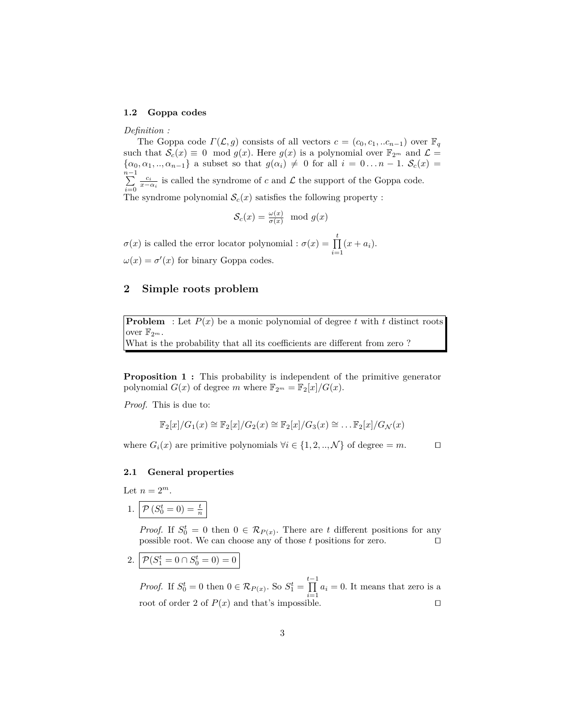#### **1.2 Goppa codes**

*Definition :*

The Goppa code  $\Gamma(\mathcal{L}, g)$  consists of all vectors  $c = (c_0, c_1, \ldots c_{n-1})$  over  $\mathbb{F}_q$ such that  $S_c(x) \equiv 0 \mod g(x)$ . Here  $g(x)$  is a polynomial over  $\mathbb{F}_{2^m}$  and  $\mathcal{L} =$  $\{\alpha_0, \alpha_1, \ldots, \alpha_{n-1}\}\$ a subset so that  $g(\alpha_i) \neq 0$  for all  $i = 0 \ldots n-1$ .  $S_c(x) =$ *n*<sup>−1</sup><br>∑ *i*=0 *c*<sup>*i*</sup></sup> *x*−*α<sub><i>i*</sub></sub> is called the syndrome of *c* and  $\mathcal{L}$  the support of the Goppa code. The syndrome polynomial  $S_c(x)$  satisfies the following property :

$$
\mathcal{S}_c(x) = \frac{\omega(x)}{\sigma(x)} \mod g(x)
$$

 $\sigma(x)$  is called the error locator polynomial :  $\sigma(x) = \prod_{k=1}^{t}$  $\prod_{i=1} (x + a_i).$  $\omega(x) = \sigma'(x)$  for binary Goppa codes.

# <span id="page-2-0"></span>**2 Simple roots problem**

**Problem** : Let  $P(x)$  be a monic polynomial of degree *t* with *t* distinct roots over  $\mathbb{F}_{2^m}$ .

What is the probability that all its coefficients are different from zero ?

**Proposition 1 :** This probability is independent of the primitive generator polynomial  $G(x)$  of degree *m* where  $\mathbb{F}_{2^m} = \mathbb{F}_2[x]/G(x)$ .

*Proof.* This is due to:

$$
\mathbb{F}_2[x]/G_1(x) \cong \mathbb{F}_2[x]/G_2(x) \cong \mathbb{F}_2[x]/G_3(x) \cong \dots \mathbb{F}_2[x]/G_{\mathcal{N}}(x)
$$

where  $G_i(x)$  are primitive polynomials  $\forall i \in \{1, 2, ..., \mathcal{N}\}\$  of degree = *m*. □

### <span id="page-2-1"></span>**2.1 General properties**

Let  $n = 2^m$ .

1.  $P(S_0^t = 0) = \frac{t}{n}$ 

*Proof.* If  $S_0^t = 0$  then  $0 \in \mathcal{R}_{P(x)}$ . There are *t* different positions for any possible root. We can choose any of those *t* positions for zero. ⊓⊔

2. 
$$
\mathcal{P}(S_1^t = 0 \cap S_0^t = 0) = 0
$$

*Proof.* If  $S_0^t = 0$  then  $0 \in \mathcal{R}_{P(x)}$ . So  $S_1^t = \prod^{t-1}$  $\prod_{i=1} a_i = 0$ . It means that zero is a root of order 2 of  $P(x)$  and that's impossible. □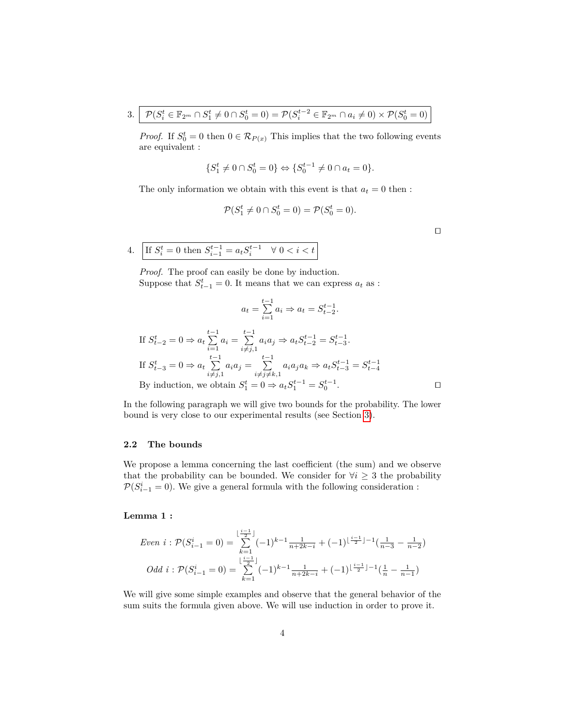3. 
$$
\mathcal{P}(S_i^t \in \mathbb{F}_{2^m} \cap S_1^t \neq 0 \cap S_0^t = 0) = \mathcal{P}(S_i^{t-2} \in \mathbb{F}_{2^m} \cap a_i \neq 0) \times \mathcal{P}(S_0^t = 0)
$$

*Proof.* If  $S_0^t = 0$  then  $0 \in \mathcal{R}_{P(x)}$  This implies that the two following events are equivalent :

$$
\{S_1^t \neq 0 \cap S_0^t = 0\} \Leftrightarrow \{S_0^{t-1} \neq 0 \cap a_t = 0\}.
$$

The only information we obtain with this event is that  $a_t = 0$  then :

$$
\mathcal{P}(S_1^t \neq 0 \cap S_0^t = 0) = \mathcal{P}(S_0^t = 0).
$$

⊓⊔

4. If 
$$
S_i^t = 0
$$
 then  $S_{i-1}^{t-1} = a_t S_i^{t-1} \quad \forall \ 0 < i < t$ 

*Proof.* The proof can easily be done by induction. Suppose that  $S_{t-1}^t = 0$ . It means that we can express  $a_t$  as :

$$
a_t = \sum_{i=1}^{t-1} a_i \Rightarrow a_t = S_{t-2}^{t-1}.
$$

If 
$$
S_{t-2}^t = 0 \Rightarrow a_t \sum_{i=1}^{t-1} a_i = \sum_{i \neq j,1}^{t-1} a_i a_j \Rightarrow a_t S_{t-2}^{t-1} = S_{t-3}^{t-1}.
$$
  
\nIf  $S_{t-3}^t = 0 \Rightarrow a_t \sum_{i \neq j,1}^{t-1} a_i a_j = \sum_{i \neq j \neq k,1}^{t-1} a_i a_j a_k \Rightarrow a_t S_{t-3}^{t-1} = S_{t-4}^{t-1}$   
\nBy induction, we obtain  $S_1^t = 0 \Rightarrow a_t S_1^{t-1} = S_0^{t-1}$ .

In the following paragraph we will give two bounds for the probability. The lower bound is very close to our experimental results (see Section [3\)](#page-8-0).

# **2.2 The bounds**

We propose a lemma concerning the last coefficient (the sum) and we observe that the probability can be bounded. We consider for  $\forall i \geq 3$  the probability  $\mathcal{P}(S_{i-1}^i=0)$ . We give a general formula with the following consideration :

### **Lemma 1 :**

\n
$$
Even\ i: \mathcal{P}(S_{i-1}^i = 0) = \sum_{k=1}^{\lfloor \frac{i-1}{2} \rfloor} (-1)^{k-1} \frac{1}{n+2k-i} + (-1)^{\lfloor \frac{i-1}{2} \rfloor - 1} \left( \frac{1}{n-3} - \frac{1}{n-2} \right)
$$
\n

\n\n $Odd\ i: \mathcal{P}(S_{i-1}^i = 0) = \sum_{k=1}^{\lfloor \frac{i-1}{2} \rfloor} (-1)^{k-1} \frac{1}{n+2k-i} + (-1)^{\lfloor \frac{i-1}{2} \rfloor - 1} \left( \frac{1}{n} - \frac{1}{n-1} \right)$ \n

We will give some simple examples and observe that the general behavior of the sum suits the formula given above. We will use induction in order to prove it.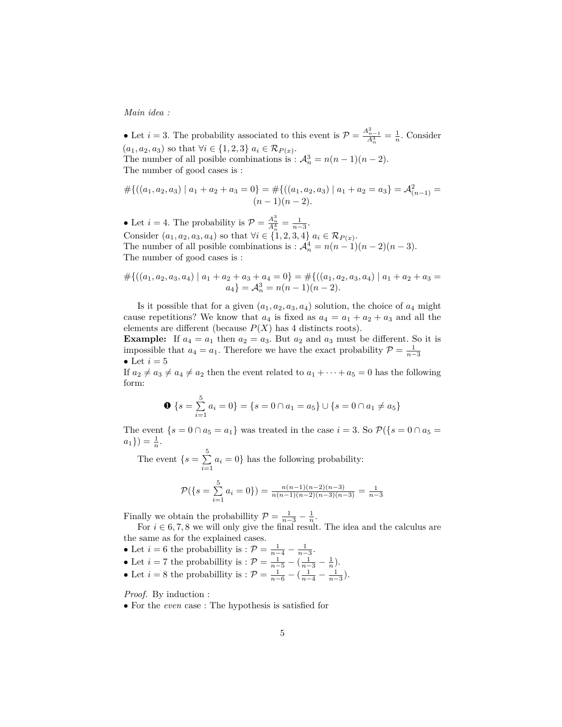*Main idea :*

• Let  $i = 3$ . The probability associated to this event is  $\mathcal{P} = \frac{A_{n-1}^2}{A_n^3} = \frac{1}{n}$ . Consider  $(a_1, a_2, a_3)$  so that  $\forall i \in \{1, 2, 3\}$   $a_i \in \mathcal{R}_{P(x)}$ . The number of all posible combinations is :  $A_n^3 = n(n-1)(n-2)$ . The number of good cases is :

$$
#{((a_1, a_2, a_3) | a_1 + a_2 + a_3 = 0} = #{((a_1, a_2, a_3) | a_1 + a_2 = a_3} = A_{(n-1)}^2 =
$$
  
(n-1)(n-2).

• Let *i* = 4. The probability is  $P = \frac{A_n^3}{A_n^4} = \frac{1}{n-3}$ . Consider  $(a_1, a_2, a_3, a_4)$  so that  $\forall i \in \{1, 2, 3, 4\}$   $a_i \in \mathcal{R}_{P(x)}$ . The number of all posible combinations is :  $\mathcal{A}_n^4 = n(n-1)(n-2)(n-3)$ . The number of good cases is :

$$
#{((a_1, a_2, a_3, a_4) | a_1 + a_2 + a_3 + a_4 = 0} = #{((a_1, a_2, a_3, a_4) | a_1 + a_2 + a_3 = a_4} = A_n^3 = n(n-1)(n-2).
$$

Is it possible that for a given  $(a_1, a_2, a_3, a_4)$  solution, the choice of  $a_4$  might cause repetitions? We know that  $a_4$  is fixed as  $a_4 = a_1 + a_2 + a_3$  and all the elements are different (because  $P(X)$  has 4 distincts roots).

**Example:** If  $a_4 = a_1$  then  $a_2 = a_3$ . But  $a_2$  and  $a_3$  must be different. So it is impossible that  $a_4 = a_1$ . Therefore we have the exact probability  $\mathcal{P} = \frac{1}{n-3}$ • Let  $i=5$ 

If  $a_2 \neq a_3 \neq a_4 \neq a_2$  then the event related to  $a_1 + \cdots + a_5 = 0$  has the following form:

$$
\mathbf{0} \{s = \sum_{i=1}^{5} a_i = 0\} = \{s = 0 \cap a_1 = a_5\} \cup \{s = 0 \cap a_1 \neq a_5\}
$$

The event  $\{s = 0 \cap a_5 = a_1\}$  was treated in the case  $i = 3$ . So  $\mathcal{P}(\{s = 0 \cap a_5 = a_1\})$  $a_1$ }) =  $\frac{1}{n}$ .

The event  $\{s=\sum_{i=1}^5$  $\sum_{i=1} a_i = 0$ } has the following probability:

$$
\mathcal{P}(\lbrace s = \sum_{i=1}^{5} a_i = 0 \rbrace) = \frac{n(n-1)(n-2)(n-3)}{n(n-1)(n-2)(n-3)(n-3)} = \frac{1}{n-3}
$$

Finally we obtain the probabillity  $\mathcal{P} = \frac{1}{n-3} - \frac{1}{n}$ .

For  $i \in 6, 7, 8$  we will only give the final result. The idea and the calculus are the same as for the explained cases.

- Let  $i = 6$  the probabillity is :  $P = \frac{1}{n-4} \frac{1}{n-3}$ .
- Let *i* = 7 the probabillity is :  $P = \frac{1}{n-5} (\frac{1}{n-3} \frac{1}{n}).$
- Let  $i = 8$  the probabillity is :  $P = \frac{1}{n-6} (\frac{1}{n-4} \frac{1}{n-3})$ .

*Proof.* By induction :

• For the *even* case : The hypothesis is satisfied for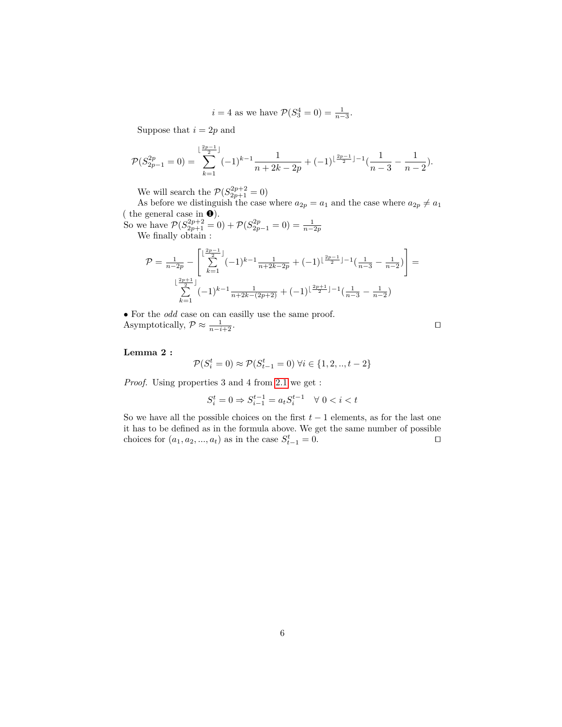$$
i = 4
$$
 as we have  $\mathcal{P}(S_3^4 = 0) = \frac{1}{n-3}$ .

Suppose that  $i = 2p$  and

$$
\mathcal{P}(S_{2p-1}^{2p} = 0) = \sum_{k=1}^{\lfloor \frac{2p-1}{2} \rfloor} (-1)^{k-1} \frac{1}{n+2k-2p} + (-1)^{\lfloor \frac{2p-1}{2} \rfloor - 1} \left( \frac{1}{n-3} - \frac{1}{n-2} \right).
$$

We will search the  $\mathcal{P}(S_{2p+1}^{2p+2} = 0)$ 

As before we distinguish the case where  $a_{2p} = a_1$  and the case where  $a_{2p} \neq a_1$ ( the general case in  $\bullet$ ).

So we have  $\mathcal{P}(S_{2p+1}^{2p+2} = 0) + \mathcal{P}(S_{2p-1}^{2p} = 0) = \frac{1}{n-2p}$ <br>We finally obtain :

$$
\mathcal{P} = \frac{1}{n-2p} - \left[ \sum_{k=1}^{\lfloor \frac{2p-1}{2} \rfloor} (-1)^{k-1} \frac{1}{n+2k-2p} + (-1)^{\lfloor \frac{2p-1}{2} \rfloor - 1} \left( \frac{1}{n-3} - \frac{1}{n-2} \right) \right] =
$$

$$
\sum_{k=1}^{\lfloor \frac{2p+1}{2} \rfloor} (-1)^{k-1} \frac{1}{n+2k-(2p+2)} + (-1)^{\lfloor \frac{2p+1}{2} \rfloor - 1} \left( \frac{1}{n-3} - \frac{1}{n-2} \right)
$$

• For the *odd* case on can easilly use the same proof. Asymptotically,  $\mathcal{P} \approx \frac{1}{n-i+2}$ . □

### **Lemma 2 :**

$$
\mathcal{P}(S_i^t = 0) \approx \mathcal{P}(S_{t-1}^t = 0) \,\forall i \in \{1, 2, ..., t-2\}
$$

*Proof.* Using properties 3 and 4 from [2.1](#page-2-1) we get :

$$
S_i^t=0 \Rightarrow S_{i-1}^{t-1}=a_tS_i^{t-1} \quad \forall \; 0
$$

So we have all the possible choices on the first  $t-1$  elements, as for the last one it has to be defined as in the formula above. We get the same number of possible choices for  $(a_1, a_2, ..., a_t)$  as in the case  $S_{t-1}^t = 0$ . □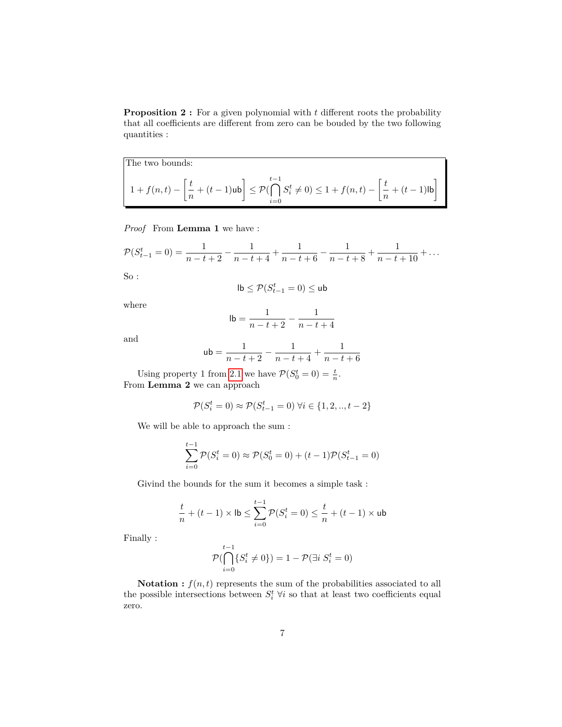**Proposition 2 :** For a given polynomial with *t* different roots the probability that all coefficients are different from zero can be bouded by the two following quantities :

The two bounds:  $1 + f(n,t) - \left[\frac{t}{t}\right]$  $\left[\frac{t}{n} + (t-1)\mathsf{ub}\right] \leq \mathcal{P}(\mathsf{b})$  $t-1$   $\bigcap$ *i*=0  $S_i^t \neq 0$ ) ≤ 1 + *f*(*n, t*) –  $\frac{t}{n}$  $\left[\frac{t}{n} + (t-1) \mathsf{lb}\right]$ 

*Proof* From **Lemma 1** we have :

$$
\mathcal{P}(S_{t-1}^t = 0) = \frac{1}{n-t+2} - \frac{1}{n-t+4} + \frac{1}{n-t+6} - \frac{1}{n-t+8} + \frac{1}{n-t+10} + \dots
$$

So :

$$
\mathsf{lb} \leq \mathcal{P}(S_{t-1}^t = 0) \leq \mathsf{ub}
$$

where

$$
\mathsf{lb} = \frac{1}{n-t+2} - \frac{1}{n-t+4}
$$

and

$$
ub = \frac{1}{n-t+2} - \frac{1}{n-t+4} + \frac{1}{n-t+6}
$$

Using property 1 from [2.1](#page-2-1) we have  $P(S_0^t = 0) = \frac{t}{n}$ . From **Lemma 2** we can approach

$$
\mathcal{P}(S_i^t = 0) \approx \mathcal{P}(S_{t-1}^t = 0) \,\forall i \in \{1, 2, ..., t-2\}
$$

We will be able to approach the sum :

$$
\sum_{i=0}^{t-1} \mathcal{P}(S_i^t = 0) \approx \mathcal{P}(S_0^t = 0) + (t-1)\mathcal{P}(S_{t-1}^t = 0)
$$

Givind the bounds for the sum it becomes a simple task :

$$
\frac{t}{n} + (t-1) \times \mathsf{lb} \le \sum_{i=0}^{t-1} \mathcal{P}(S_i^t = 0) \le \frac{t}{n} + (t-1) \times \mathsf{ub}
$$

Finally :

$$
\mathcal{P}(\bigcap_{i=0}^{t-1} \{ S_i^t \neq 0 \}) = 1 - \mathcal{P}(\exists i \ S_i^t = 0)
$$

**Notation :**  $f(n, t)$  represents the sum of the probabilities associated to all the possible intersections between  $S_i^t$   $\forall i$  so that at least two coefficients equal zero.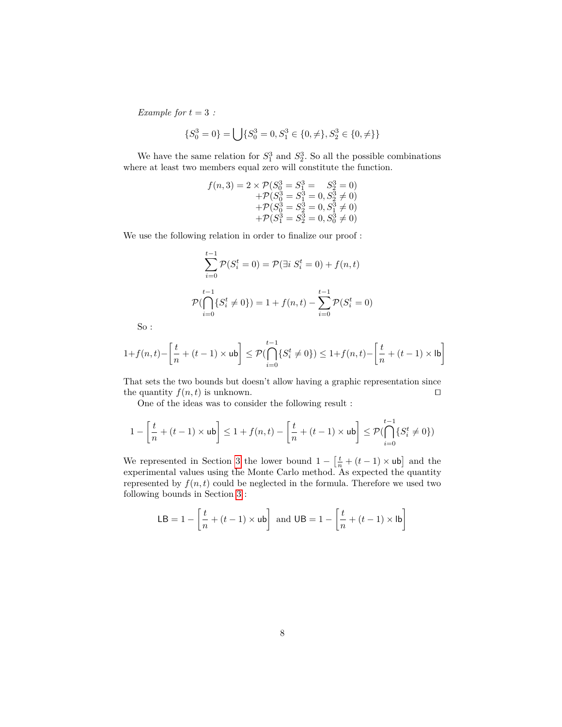*Example for*  $t = 3$  *:* 

$$
\{S_0^3 = 0\} = \bigcup \{S_0^3 = 0, S_1^3 \in \{0, \neq\}, S_2^3 \in \{0, \neq\} \}
$$

We have the same relation for  $S_1^3$  and  $S_2^3$ . So all the possible combinations where at least two members equal zero will constitute the function.

$$
f(n,3) = 2 \times \mathcal{P}(S_0^3 = S_1^3 = S_2^3 = 0)
$$
  
+
$$
\mathcal{P}(S_0^3 = S_1^3 = 0, S_2^3 \neq 0)
$$
  
+
$$
\mathcal{P}(S_0^3 = S_2^3 = 0, S_1^3 \neq 0)
$$
  
+
$$
\mathcal{P}(S_1^3 = S_2^3 = 0, S_0^3 \neq 0)
$$

We use the following relation in order to finalize our proof :

$$
\sum_{i=0}^{t-1} \mathcal{P}(S_i^t = 0) = \mathcal{P}(\exists i \ S_i^t = 0) + f(n, t)
$$

$$
\mathcal{P}(\bigcap_{i=0}^{t-1} \{S_i^t \neq 0\}) = 1 + f(n, t) - \sum_{i=0}^{t-1} \mathcal{P}(S_i^t = 0)
$$

So :

$$
1 + f(n,t) - \left[\frac{t}{n} + (t-1) \times \mathsf{ub}\right] \le \mathcal{P}(\bigcap_{i=0}^{t-1} \{S_i^t \neq 0\}) \le 1 + f(n,t) - \left[\frac{t}{n} + (t-1) \times \mathsf{lb}\right]
$$

That sets the two bounds but doesn't allow having a graphic representation since the quantity  $f(n, t)$  is unknown. □

One of the ideas was to consider the following result :

$$
1 - \left[\frac{t}{n} + (t-1) \times \mathsf{ub} \right] \le 1 + f(n,t) - \left[\frac{t}{n} + (t-1) \times \mathsf{ub} \right] \le \mathcal{P}(\bigcap_{i=0}^{t-1} \{S_i^t \neq 0\})
$$

We represented in Section [3](#page-8-0) the lower bound  $1 - \left[\frac{t}{n} + (t-1) \times \text{ub}\right]$  and the experimental values using the Monte Carlo method. As expected the quantity represented by  $f(n, t)$  could be neglected in the formula. Therefore we used two following bounds in Section [3](#page-8-0) :

$$
\mathsf{LB} = 1 - \left[\frac{t}{n} + (t - 1) \times \mathsf{ub}\right] \text{ and } \mathsf{UB} = 1 - \left[\frac{t}{n} + (t - 1) \times \mathsf{lb}\right]
$$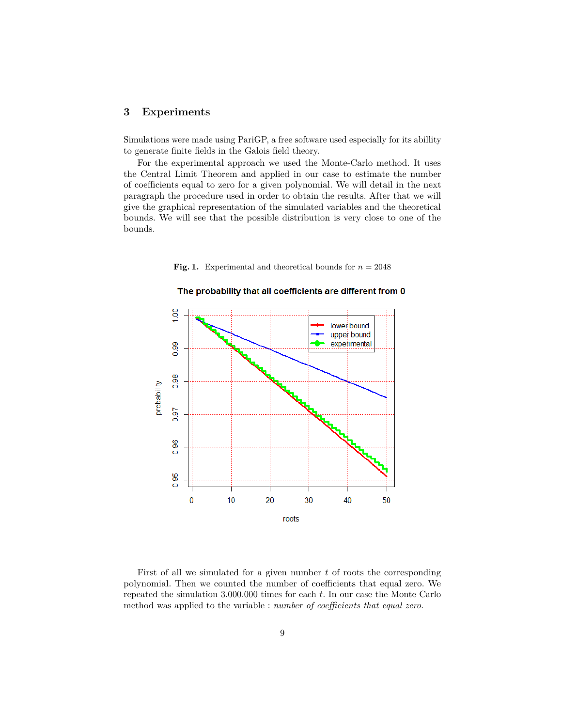# <span id="page-8-0"></span>**3 Experiments**

Simulations were made using PariGP, a free software used especially for its abillity to generate finite fields in the Galois field theory.

For the experimental approach we used the Monte-Carlo method. It uses the Central Limit Theorem and applied in our case to estimate the number of coefficients equal to zero for a given polynomial. We will detail in the next paragraph the procedure used in order to obtain the results. After that we will give the graphical representation of the simulated variables and the theoretical bounds. We will see that the possible distribution is very close to one of the bounds.





The probability that all coefficients are different from 0

First of all we simulated for a given number *t* of roots the corresponding polynomial. Then we counted the number of coefficients that equal zero. We repeated the simulation 3.000.000 times for each *t*. In our case the Monte Carlo method was applied to the variable : *number of coefficients that equal zero*.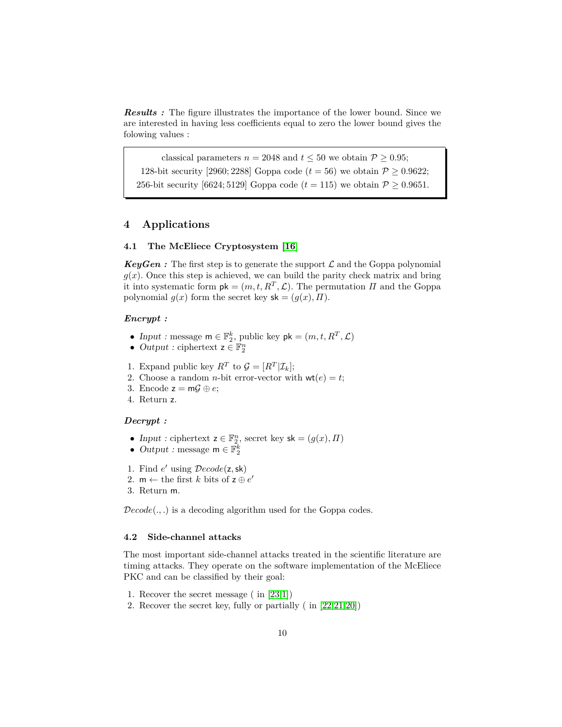*Results :* The figure illustrates the importance of the lower bound. Since we are interested in having less coefficients equal to zero the lower bound gives the folowing values :

classical parameters  $n = 2048$  and  $t \le 50$  we obtain  $P \ge 0.95$ ; 128-bit security [2960; 2288] Goppa code  $(t = 56)$  we obtain  $P \ge 0.9622$ ; 256-bit security [6624; 5129] Goppa code ( $t = 115$ ) we obtain  $P \ge 0.9651$ .

# <span id="page-9-0"></span>**4 Applications**

### **4.1 The McEliece Cryptosystem [\[16\]](#page-11-1)**

**KeyGen**: The first step is to generate the support  $\mathcal{L}$  and the Goppa polynomial  $g(x)$ . Once this step is achieved, we can build the parity check matrix and bring it into systematic form  $pk = (m, t, R^T, \mathcal{L})$ . The permutation *Π* and the Goppa polynomial  $g(x)$  form the secret key  $sk = (g(x), \Pi)$ *.* 

### *Encrypt :*

- Input : message  $\mathsf{m} \in \mathbb{F}_2^k$ , public key  $\mathsf{pk} = (m, t, R^T, \mathcal{L})$
- Output : ciphertext  $z \in \mathbb{F}_2^n$
- 1. Expand public key  $R^T$  to  $\mathcal{G} = [R^T | \mathcal{I}_k]$ ;
- 2. Choose a random *n*-bit error-vector with  $wt(e) = t$ ;
- 3. Encode  $z = m\mathcal{G} \oplus e$ ;
- 4. Return z*.*

#### *Decrypt :*

- Input : ciphertext  $\mathbf{z} \in \mathbb{F}_2^n$ , secret key  $\mathsf{sk} = (g(x), \Pi)$
- Output : message  $m \in \mathbb{F}_2^k$
- 1. Find *e* ′ using D*ecode*(z*,*sk)
- 2.  $m \leftarrow$  the first *k* bits of  $z \oplus e'$
- 3. Return m*.*

D*ecode*(*., .*) is a decoding algorithm used for the Goppa codes.

### **4.2 Side-channel attacks**

The most important side-channel attacks treated in the scientific literature are timing attacks. They operate on the software implementation of the McEliece PKC and can be classified by their goal:

- 1. Recover the secret message ( in [\[23,](#page-11-14)[1\]](#page-10-3))
- 2. Recover the secret key, fully or partially ( in [\[22](#page-11-15)[,21,](#page-11-16)[20\]](#page-11-17))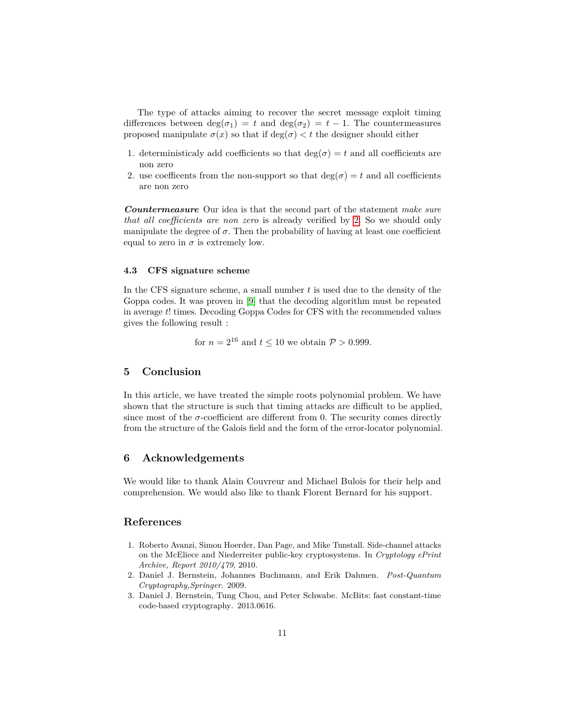The type of attacks aiming to recover the secret message exploit timing differences between  $deg(\sigma_1) = t$  and  $deg(\sigma_2) = t - 1$ . The countermeasures proposed manipulate  $\sigma(x)$  so that if  $\deg(\sigma) < t$  the designer should either

- 1. deterministicaly add coefficients so that  $\deg(\sigma) = t$  and all coefficients are non zero
- 2. use coefficents from the non-support so that  $deg(\sigma) = t$  and all coefficients are non zero

*Countermeasure* Our idea is that the second part of the statement *make sure that all coefficients are non zero* is already verified by [2.](#page-2-0) So we should only manipulate the degree of  $\sigma$ . Then the probability of having at least one coefficient equal to zero in  $\sigma$  is extremely low.

### **4.3 CFS signature scheme**

In the CFS signature scheme, a small number *t* is used due to the density of the Goppa codes. It was proven in [\[9\]](#page-11-18) that the decoding algorithm must be repeated in average *t*! times. Decoding Goppa Codes for CFS with the recommended values gives the following result :

for  $n = 2^{16}$  and  $t \le 10$  we obtain  $P > 0.999$ .

# <span id="page-10-2"></span>**5 Conclusion**

In this article, we have treated the simple roots polynomial problem. We have shown that the structure is such that timing attacks are difficult to be applied, since most of the  $\sigma$ -coefficient are different from 0. The security comes directly from the structure of the Galois field and the form of the error-locator polynomial.

#### **6 Acknowledgements**

We would like to thank Alain Couvreur and Michael Bulois for their help and comprehension. We would also like to thank Florent Bernard for his support.

# **References**

- <span id="page-10-3"></span>1. Roberto Avanzi, Simon Hoerder, Dan Page, and Mike Tunstall. Side-channel attacks on the McEliece and Niederreiter public-key cryptosystems. In *Cryptology ePrint Archive, Report 2010/479*, 2010.
- <span id="page-10-0"></span>2. Daniel J. Bernstein, Johannes Buchmann, and Erik Dahmen. *Post-Quantum Cryptography,Springer*. 2009.
- <span id="page-10-1"></span>3. Daniel J. Bernstein, Tung Chou, and Peter Schwabe. McBits: fast constant-time code-based cryptography. 2013.0616.